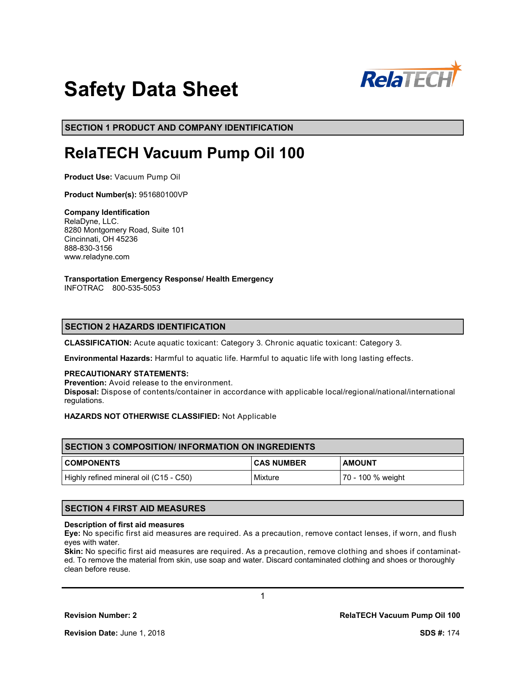

# **Safety Data Sheet**

**SECTION 1 PRODUCT AND COMPANY IDENTIFICATION**

# **RelaTECH Vacuum Pump Oil 100**

**Product Use:** Vacuum Pump Oil

**Product Number(s):** 951680100VP

**Company Identification** RelaDyne, LLC. 8280 Montgomery Road, Suite 101 Cincinnati, OH 45236 888-830-3156 www.reladyne.com

**Transportation Emergency Response/ Health Emergency**

INFOTRAC 800-535-5053

# **SECTION 2 HAZARDS IDENTIFICATION**

**CLASSIFICATION:** Acute aquatic toxicant: Category 3. Chronic aquatic toxicant: Category 3.

**Environmental Hazards:** Harmful to aquatic life. Harmful to aquatic life with long lasting effects.

#### **PRECAUTIONARY STATEMENTS:**

**Prevention:** Avoid release to the environment. **Disposal:** Dispose of contents/container in accordance with applicable local/regional/national/international regulations.

**HAZARDS NOT OTHERWISE CLASSIFIED:** Not Applicable

| <b>SECTION 3 COMPOSITION/ INFORMATION ON INGREDIENTS</b> |                   |                   |  |
|----------------------------------------------------------|-------------------|-------------------|--|
| <b>COMPONENTS</b>                                        | <b>CAS NUMBER</b> | <b>AMOUNT</b>     |  |
| Highly refined mineral oil (C15 - C50)                   | Mixture           | 70 - 100 % weight |  |

# **SECTION 4 FIRST AID MEASURES**

#### **Description of first aid measures**

**Eye:** No specific first aid measures are required. As a precaution, remove contact lenses, if worn, and flush eyes with water.

**Skin:** No specific first aid measures are required. As a precaution, remove clothing and shoes if contaminated. To remove the material from skin, use soap and water. Discard contaminated clothing and shoes or thoroughly clean before reuse.

1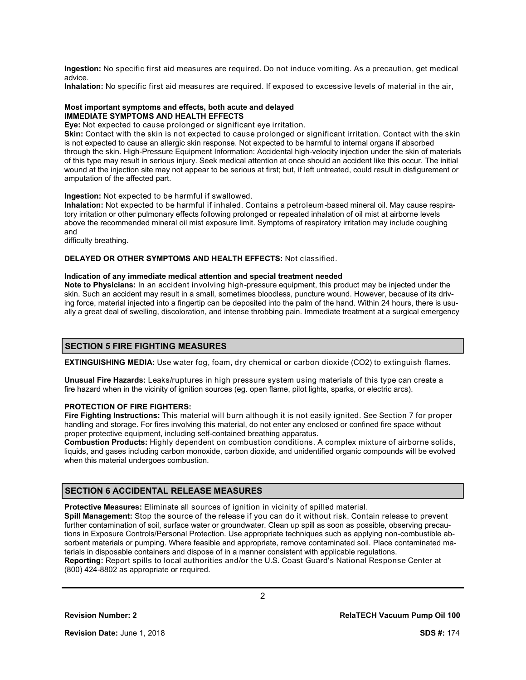**Ingestion:** No specific first aid measures are required. Do not induce vomiting. As a precaution, get medical advice.

**Inhalation:** No specific first aid measures are required. If exposed to excessive levels of material in the air,

#### **Most important symptoms and effects, both acute and delayed IMMEDIATE SYMPTOMS AND HEALTH EFFECTS**

**Eye:** Not expected to cause prolonged or significant eye irritation.

**Skin:** Contact with the skin is not expected to cause prolonged or significant irritation. Contact with the skin is not expected to cause an allergic skin response. Not expected to be harmful to internal organs if absorbed through the skin. High-Pressure Equipment Information: Accidental high-velocity injection under the skin of materials of this type may result in serious injury. Seek medical attention at once should an accident like this occur. The initial wound at the injection site may not appear to be serious at first; but, if left untreated, could result in disfigurement or amputation of the affected part.

#### **Ingestion:** Not expected to be harmful if swallowed.

**Inhalation:** Not expected to be harmful if inhaled. Contains a petroleum-based mineral oil. May cause respiratory irritation or other pulmonary effects following prolonged or repeated inhalation of oil mist at airborne levels above the recommended mineral oil mist exposure limit. Symptoms of respiratory irritation may include coughing and

difficulty breathing.

#### **DELAYED OR OTHER SYMPTOMS AND HEALTH EFFECTS:** Not classified.

#### **Indication of any immediate medical attention and special treatment needed**

**Note to Physicians:** In an accident involving high-pressure equipment, this product may be injected under the skin. Such an accident may result in a small, sometimes bloodless, puncture wound. However, because of its driving force, material injected into a fingertip can be deposited into the palm of the hand. Within 24 hours, there is usually a great deal of swelling, discoloration, and intense throbbing pain. Immediate treatment at a surgical emergency

#### **SECTION 5 FIRE FIGHTING MEASURES**

**EXTINGUISHING MEDIA:** Use water fog, foam, dry chemical or carbon dioxide (CO2) to extinguish flames.

**Unusual Fire Hazards:** Leaks/ruptures in high pressure system using materials of this type can create a fire hazard when in the vicinity of ignition sources (eg. open flame, pilot lights, sparks, or electric arcs).

## **PROTECTION OF FIRE FIGHTERS:**

**Fire Fighting Instructions:** This material will burn although it is not easily ignited. See Section 7 for proper handling and storage. For fires involving this material, do not enter any enclosed or confined fire space without proper protective equipment, including self-contained breathing apparatus.

**Combustion Products:** Highly dependent on combustion conditions. A complex mixture of airborne solids, liquids, and gases including carbon monoxide, carbon dioxide, and unidentified organic compounds will be evolved when this material undergoes combustion.

# **SECTION 6 ACCIDENTAL RELEASE MEASURES**

**Protective Measures:** Eliminate all sources of ignition in vicinity of spilled material.

**Spill Management:** Stop the source of the release if you can do it without risk. Contain release to prevent further contamination of soil, surface water or groundwater. Clean up spill as soon as possible, observing precautions in Exposure Controls/Personal Protection. Use appropriate techniques such as applying non-combustible absorbent materials or pumping. Where feasible and appropriate, remove contaminated soil. Place contaminated materials in disposable containers and dispose of in a manner consistent with applicable regulations. **Reporting:** Report spills to local authorities and/or the U.S. Coast Guard's National Response Center at (800) 424-8802 as appropriate or required.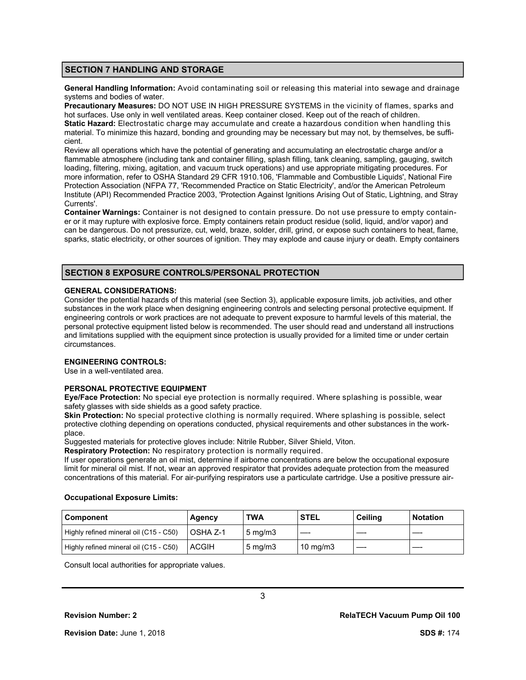# **SECTION 7 HANDLING AND STORAGE**

**General Handling Information:** Avoid contaminating soil or releasing this material into sewage and drainage systems and bodies of water.

**Precautionary Measures:** DO NOT USE IN HIGH PRESSURE SYSTEMS in the vicinity of flames, sparks and hot surfaces. Use only in well ventilated areas. Keep container closed. Keep out of the reach of children. **Static Hazard:** Electrostatic charge may accumulate and create a hazardous condition when handling this material. To minimize this hazard, bonding and grounding may be necessary but may not, by themselves, be sufficient.

Review all operations which have the potential of generating and accumulating an electrostatic charge and/or a flammable atmosphere (including tank and container filling, splash filling, tank cleaning, sampling, gauging, switch loading, filtering, mixing, agitation, and vacuum truck operations) and use appropriate mitigating procedures. For more information, refer to OSHA Standard 29 CFR 1910.106, 'Flammable and Combustible Liquids', National Fire Protection Association (NFPA 77, 'Recommended Practice on Static Electricity', and/or the American Petroleum Institute (API) Recommended Practice 2003, 'Protection Against Ignitions Arising Out of Static, Lightning, and Stray Currents'.

**Container Warnings:** Container is not designed to contain pressure. Do not use pressure to empty container or it may rupture with explosive force. Empty containers retain product residue (solid, liquid, and/or vapor) and can be dangerous. Do not pressurize, cut, weld, braze, solder, drill, grind, or expose such containers to heat, flame, sparks, static electricity, or other sources of ignition. They may explode and cause injury or death. Empty containers

# **SECTION 8 EXPOSURE CONTROLS/PERSONAL PROTECTION**

#### **GENERAL CONSIDERATIONS:**

Consider the potential hazards of this material (see Section 3), applicable exposure limits, job activities, and other substances in the work place when designing engineering controls and selecting personal protective equipment. If engineering controls or work practices are not adequate to prevent exposure to harmful levels of this material, the personal protective equipment listed below is recommended. The user should read and understand all instructions and limitations supplied with the equipment since protection is usually provided for a limited time or under certain circumstances.

### **ENGINEERING CONTROLS:**

Use in a well-ventilated area.

#### **PERSONAL PROTECTIVE EQUIPMENT**

**Eye/Face Protection:** No special eye protection is normally required. Where splashing is possible, wear safety glasses with side shields as a good safety practice.

**Skin Protection:** No special protective clothing is normally required. Where splashing is possible, select protective clothing depending on operations conducted, physical requirements and other substances in the workplace.

Suggested materials for protective gloves include: Nitrile Rubber, Silver Shield, Viton.

**Respiratory Protection:** No respiratory protection is normally required.

If user operations generate an oil mist, determine if airborne concentrations are below the occupational exposure limit for mineral oil mist. If not, wear an approved respirator that provides adequate protection from the measured concentrations of this material. For air-purifying respirators use a particulate cartridge. Use a positive pressure air-

#### **Occupational Exposure Limits:**

| <b>Component</b>                       | Agency       | <b>TWA</b>         | <b>STEL</b>       | Ceiling | <b>Notation</b> |
|----------------------------------------|--------------|--------------------|-------------------|---------|-----------------|
| Highly refined mineral oil (C15 - C50) | l OSHA Z-1   | $5 \text{ ma/m}$ 3 |                   |         |                 |
| Highly refined mineral oil (C15 - C50) | <b>ACGIH</b> | $5 \text{ mg/m}$   | $10 \text{ mg/m}$ |         |                 |

Consult local authorities for appropriate values.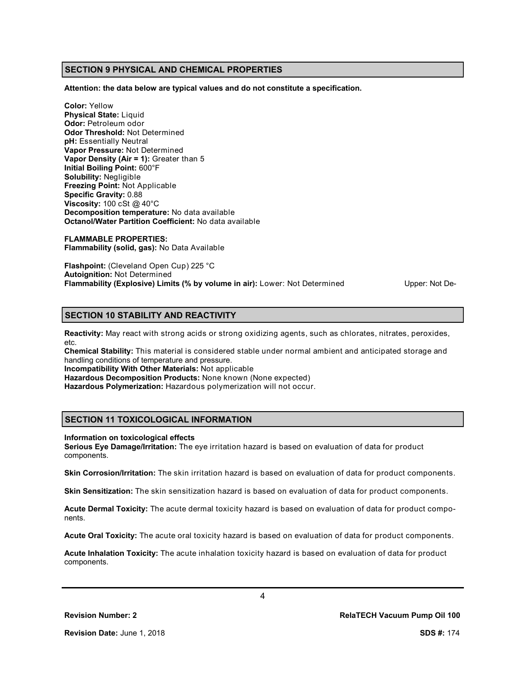# **SECTION 9 PHYSICAL AND CHEMICAL PROPERTIES**

**Attention: the data below are typical values and do not constitute a specification.**

**Color:** Yellow **Physical State:** Liquid **Odor:** Petroleum odor **Odor Threshold:** Not Determined **pH:** Essentially Neutral **Vapor Pressure:** Not Determined **Vapor Density (Air = 1):** Greater than 5 **Initial Boiling Point:** 600°F **Solubility:** Negligible **Freezing Point:** Not Applicable **Specific Gravity:** 0.88 **Viscosity:** 100 cSt @ 40°C **Decomposition temperature:** No data available **Octanol/Water Partition Coefficient:** No data available

**FLAMMABLE PROPERTIES: Flammability (solid, gas):** No Data Available

**Flashpoint:** (Cleveland Open Cup) 225 °C **Autoignition:** Not Determined **Flammability (Explosive) Limits (% by volume in air):** Lower: Not Determined Upper: Not De-

# **SECTION 10 STABILITY AND REACTIVITY**

**Reactivity:** May react with strong acids or strong oxidizing agents, such as chlorates, nitrates, peroxides, etc.

**Chemical Stability:** This material is considered stable under normal ambient and anticipated storage and handling conditions of temperature and pressure.

**Incompatibility With Other Materials:** Not applicable

**Hazardous Decomposition Products:** None known (None expected)

**Hazardous Polymerization:** Hazardous polymerization will not occur.

# **SECTION 11 TOXICOLOGICAL INFORMATION**

#### **Information on toxicological effects**

**Serious Eye Damage/Irritation:** The eye irritation hazard is based on evaluation of data for product components.

**Skin Corrosion/Irritation:** The skin irritation hazard is based on evaluation of data for product components.

**Skin Sensitization:** The skin sensitization hazard is based on evaluation of data for product components.

**Acute Dermal Toxicity:** The acute dermal toxicity hazard is based on evaluation of data for product components.

**Acute Oral Toxicity:** The acute oral toxicity hazard is based on evaluation of data for product components.

**Acute Inhalation Toxicity:** The acute inhalation toxicity hazard is based on evaluation of data for product components.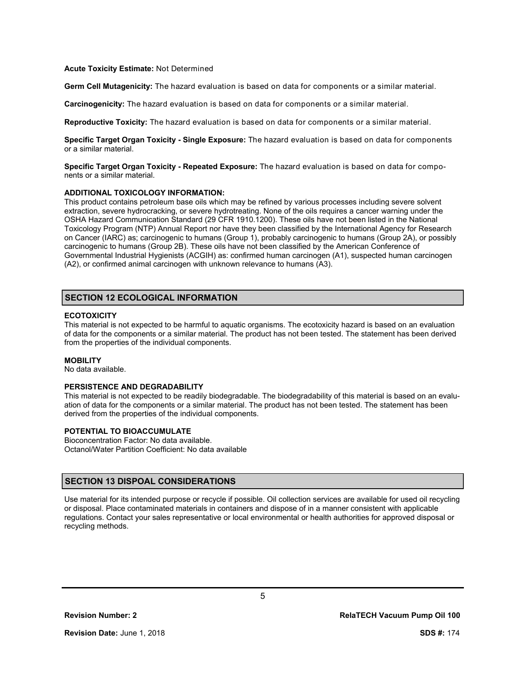#### **Acute Toxicity Estimate:** Not Determined

**Germ Cell Mutagenicity:** The hazard evaluation is based on data for components or a similar material.

**Carcinogenicity:** The hazard evaluation is based on data for components or a similar material.

**Reproductive Toxicity:** The hazard evaluation is based on data for components or a similar material.

**Specific Target Organ Toxicity - Single Exposure:** The hazard evaluation is based on data for components or a similar material.

**Specific Target Organ Toxicity - Repeated Exposure:** The hazard evaluation is based on data for components or a similar material.

#### **ADDITIONAL TOXICOLOGY INFORMATION:**

This product contains petroleum base oils which may be refined by various processes including severe solvent extraction, severe hydrocracking, or severe hydrotreating. None of the oils requires a cancer warning under the OSHA Hazard Communication Standard (29 CFR 1910.1200). These oils have not been listed in the National Toxicology Program (NTP) Annual Report nor have they been classified by the International Agency for Research on Cancer (IARC) as; carcinogenic to humans (Group 1), probably carcinogenic to humans (Group 2A), or possibly carcinogenic to humans (Group 2B). These oils have not been classified by the American Conference of Governmental Industrial Hygienists (ACGIH) as: confirmed human carcinogen (A1), suspected human carcinogen (A2), or confirmed animal carcinogen with unknown relevance to humans (A3).

# **SECTION 12 ECOLOGICAL INFORMATION**

## **ECOTOXICITY**

This material is not expected to be harmful to aquatic organisms. The ecotoxicity hazard is based on an evaluation of data for the components or a similar material. The product has not been tested. The statement has been derived from the properties of the individual components.

#### **MOBILITY**

No data available.

# **PERSISTENCE AND DEGRADABILITY**

This material is not expected to be readily biodegradable. The biodegradability of this material is based on an evaluation of data for the components or a similar material. The product has not been tested. The statement has been derived from the properties of the individual components.

# **POTENTIAL TO BIOACCUMULATE**

Bioconcentration Factor: No data available. Octanol/Water Partition Coefficient: No data available

# **SECTION 13 DISPOAL CONSIDERATIONS**

Use material for its intended purpose or recycle if possible. Oil collection services are available for used oil recycling or disposal. Place contaminated materials in containers and dispose of in a manner consistent with applicable regulations. Contact your sales representative or local environmental or health authorities for approved disposal or recycling methods.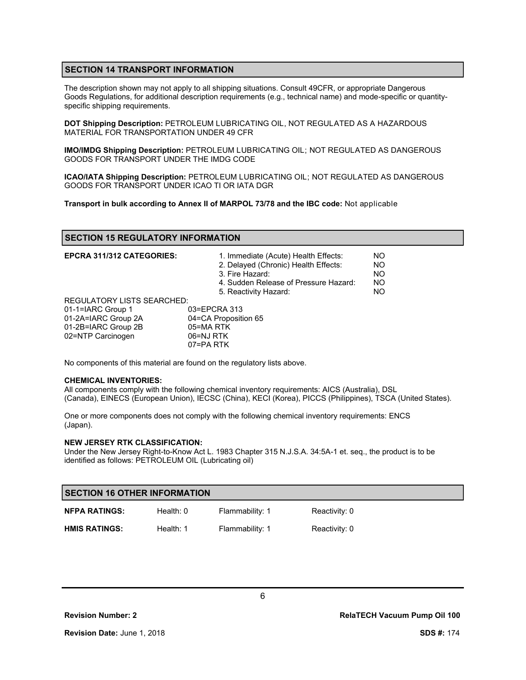# **SECTION 14 TRANSPORT INFORMATION**

The description shown may not apply to all shipping situations. Consult 49CFR, or appropriate Dangerous Goods Regulations, for additional description requirements (e.g., technical name) and mode-specific or quantityspecific shipping requirements.

**DOT Shipping Description:** PETROLEUM LUBRICATING OIL, NOT REGULATED AS A HAZARDOUS MATERIAL FOR TRANSPORTATION UNDER 49 CFR

**IMO/IMDG Shipping Description:** PETROLEUM LUBRICATING OIL; NOT REGULATED AS DANGEROUS GOODS FOR TRANSPORT UNDER THE IMDG CODE

**ICAO/IATA Shipping Description:** PETROLEUM LUBRICATING OIL; NOT REGULATED AS DANGEROUS GOODS FOR TRANSPORT UNDER ICAO TI OR IATA DGR

**Transport in bulk according to Annex II of MARPOL 73/78 and the IBC code:** Not applicable

# **SECTION 15 REGULATORY INFORMATION**

| <b>EPCRA 311/312 CATEGORIES:</b>  | 1. Immediate (Acute) Health Effects:<br>2. Delayed (Chronic) Health Effects:<br>3. Fire Hazard:<br>4. Sudden Release of Pressure Hazard:<br>5. Reactivity Hazard: | NO.<br><b>NO</b><br><b>NO</b><br><b>NO</b><br>NO. |
|-----------------------------------|-------------------------------------------------------------------------------------------------------------------------------------------------------------------|---------------------------------------------------|
| <b>REGULATORY LISTS SEARCHED:</b> |                                                                                                                                                                   |                                                   |
| 01-1=IARC Group 1                 | 03=EPCRA 313                                                                                                                                                      |                                                   |
| 01-2A=IARC Group 2A               | 04=CA Proposition 65                                                                                                                                              |                                                   |
| 01-2B=IARC Group 2B               | 05=MA RTK                                                                                                                                                         |                                                   |
| 02=NTP Carcinogen                 | 06=NJ RTK                                                                                                                                                         |                                                   |
|                                   | 07=PA RTK                                                                                                                                                         |                                                   |

No components of this material are found on the regulatory lists above.

#### **CHEMICAL INVENTORIES:**

All components comply with the following chemical inventory requirements: AICS (Australia), DSL (Canada), EINECS (European Union), IECSC (China), KECI (Korea), PICCS (Philippines), TSCA (United States).

One or more components does not comply with the following chemical inventory requirements: ENCS (Japan).

#### **NEW JERSEY RTK CLASSIFICATION:**

Under the New Jersey Right-to-Know Act L. 1983 Chapter 315 N.J.S.A. 34:5A-1 et. seq., the product is to be identified as follows: PETROLEUM OIL (Lubricating oil)

| <b>SECTION 16 OTHER INFORMATION</b> |             |                 |               |
|-------------------------------------|-------------|-----------------|---------------|
| <b>NFPA RATINGS:</b>                | Health: $0$ | Flammability: 1 | Reactivity: 0 |
| <b>HMIS RATINGS:</b>                | Health: 1   | Flammability: 1 | Reactivity: 0 |

**Revision Number: 2 RelaTECH Vacuum Pump Oil 100**